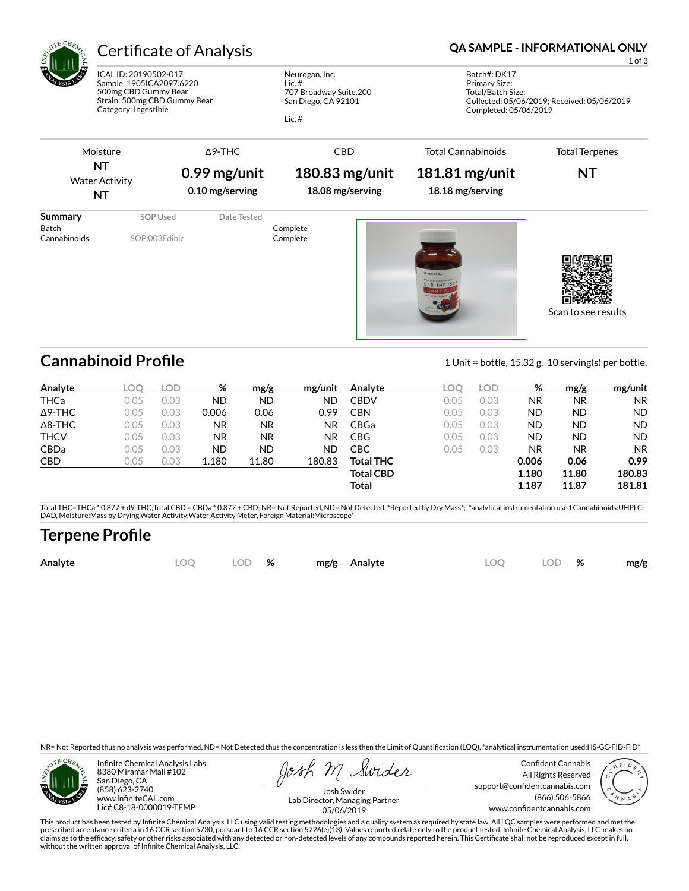

# Certificate of Analysis **Certificate of Analysis QA SAMPLE - INFORMATIONAL ONLY**

ICAL ID: 20190502-017 Sample: 1905ICA2097.6220 500mg CBD Gummy Bear Strain: 500mg CBD Gummy Bear Category: Ingestible

Neurogan, Inc. Lic. # 707 Broadway Suite.200 San Diego, CA 92101

Lic. #

1 of 3

Batch#: DK17 Primary Size: Total/Batch Size: Collected: 05/06/2019; Received: 05/06/2019 Completed: 05/06/2019

Moisture Δ9-THC CBD Total Cannabinoids Total Terpenes **NT 0.99 mg/unit 180.83 mg/unit 181.81 mg/unit NT** Water Activity **0.10 mg/serving 18.08 mg/serving 18.18 mg/serving NT Summary SOP Used** Date Tested Batch Complete<br>
Complete Cannabinoids SOP:003Edible Cannabinoids Complete SOP:003Edible Complete п o

Scan to see results

## **Cannabinoid Profile** 1 Unit = bottle, 15.32 g. 10 serving(s) per bottle.

**Analyte LOQ LOD % mg/g mg/unit** THCa 0.05 0.03 ND ND ND Δ9-THC 0.05 0.03 0.006 0.06 0.99 Δ8-THC 0.05 0.03 NR NR NR **THCV** 0.05 0.03 NR NR NR CBDa 0.05 0.03 ND ND ND CBD 0.05 0.03 1.180 11.80 180.83 **Analyte LOQ LOD % mg/g mg/unit** CBDV 0.05 0.03 NR NR NR CBN 0.05 0.03 ND ND ND CBGa 0.05 0.03 ND ND ND CBG 0.05 0.03 ND ND ND CBC 0.05 0.03 NR NR NR **Total THC 0.006 0.06 0.99 Total CBD** 1.180 11.80 180.83 **Total 1.187 11.87 181.81**

Total THC=THCa \* 0.877 + d9-THC;Total CBD = CBDa \* 0.877 + CBD; NR= Not Reported, ND= Not Detected, \*Reported by Dry Mass\*; \*analytical instrumentation used Cannabinoids:UHPLC-DAD, Moisture:Mass by Drying,Water Activity:Water Activity Meter, Foreign Material:Microscope\*

## **Terpene Pro×le**

|  | Analyt | $\sqrt{ }$ | ЭF | $\mathbf{a}$<br>$\sqrt{2}$ | mo/o |  |  | o,<br>$\sqrt{2}$ | .nø/c |
|--|--------|------------|----|----------------------------|------|--|--|------------------|-------|
|--|--------|------------|----|----------------------------|------|--|--|------------------|-------|

NR= Not Reported thus no analysis was performed, ND= Not Detected thus the concentration is less then the Limit of Quantification (LOQ), \*analytical instrumentation used:HS-GC-FID-FID\*



Infinite Chemical Analysis Labs 8380 Miramar Mall #102 San Diego, CA (858) 623-2740 www.infiniteCAL.com Lic# C8-18-0000019-TEMP

Swides

Confident Cannabis All Rights Reserved support@confidentcannabis.com (866) 506-5866 www.confidentcannabis.com



Josh Swider Lab Director, Managing Partner 05/06/2019

This product has been tested by Infinite Chemical Analysis, LLC using valid testing methodologies and a quality system as required by state law. All LQC samples were performed and met the prescribed acceptance criteria in 16 CCR section 5730, pursuant to 16 CCR section 5726(e)(13). Values reported relate only to the product tested. Infinite Chemical Analysis, LLC makes no<br>claims as to the efficacy, safety o without the written approval of Infinite Chemical Analysis, LLC.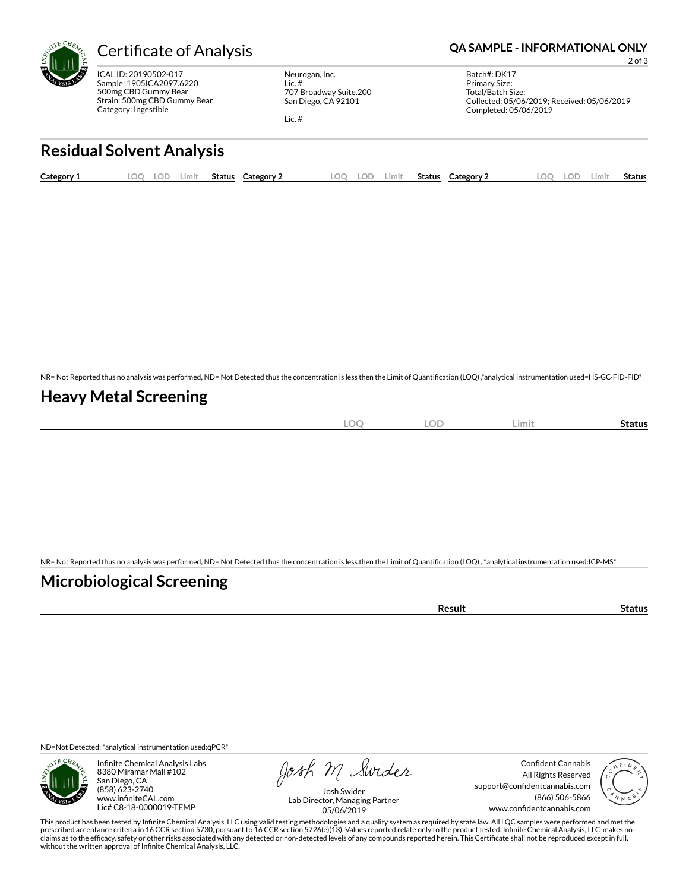

ICAL ID: 20190502-017 Sample: 1905ICA2097.6220 500mg CBD Gummy Bear Strain: 500mg CBD Gummy Bear Category: Ingestible

Neurogan, Inc. Lic. # 707 Broadway Suite.200 San Diego, CA 92101

Lic. #

#### Certificate of Analysis **Certificate of Analysis QA SAMPLE - INFORMATIONAL ONLY**

2 of 3

Batch#: DK17 Primary Size: Total/Batch Size: Collected: 05/06/2019; Received: 05/06/2019 Completed: 05/06/2019

## **Residual Solvent Analysis**

| Category 1 | OO. | LOD | Limit | <b>Status</b> Category 2 | LOO | LOD | Limit | Status | <b>Category 2</b> | $\Omega$ | LOD. | Limit | Status |
|------------|-----|-----|-------|--------------------------|-----|-----|-------|--------|-------------------|----------|------|-------|--------|
|            |     |     |       |                          |     |     |       |        |                   |          |      |       |        |

NR= Not Reported thus no analysis was performed, ND= Not Detected thus the concentration is less then the Limit of Quantification (LOQ) ,\*analytical instrumentation used=HS-GC-FID-FID\*

### **Heavy Metal Screening**

| $\sim$<br>∽<br>$\sim$ | OF<br>∽ | Limit | status |
|-----------------------|---------|-------|--------|
|                       |         |       |        |

NR= Not Reported thus no analysis was performed, ND= Not Detected thus the concentration is less then the Limit of Quantification (LOQ), \*analytical instrumentation used:ICP-MS\*

### **Microbiological Screening**

| ารนIน |
|-------|
|-------|

ND=Not Detected; \*analytical instrumentation used:qPCR\*



Infinite Chemical Analysis Labs 8380 Miramar Mall #102 San Diego, CA (858) 623-2740 www.infiniteCAL.com Lic# C8-18-0000019-TEMP

Josh M Swider

Confident Cannabis All Rights Reserved support@confidentcannabis.com (866) 506-5866 www.confidentcannabis.com



Josh Swider Lab Director, Managing Partner 05/06/2019

This product has been tested by Infinite Chemical Analysis, LLC using valid testing methodologies and a quality system as required by state law. All LQC samples were performed and met the prescribed acceptance criteria in 16 CCR section 5730, pursuant to 16 CCR section 5726(e)(13). Values reported relate only to the product tested. Infinite Chemical Analysis, LLC makes no<br>claims as to the efficacy, safety o without the written approval of Infinite Chemical Analysis, LLC.